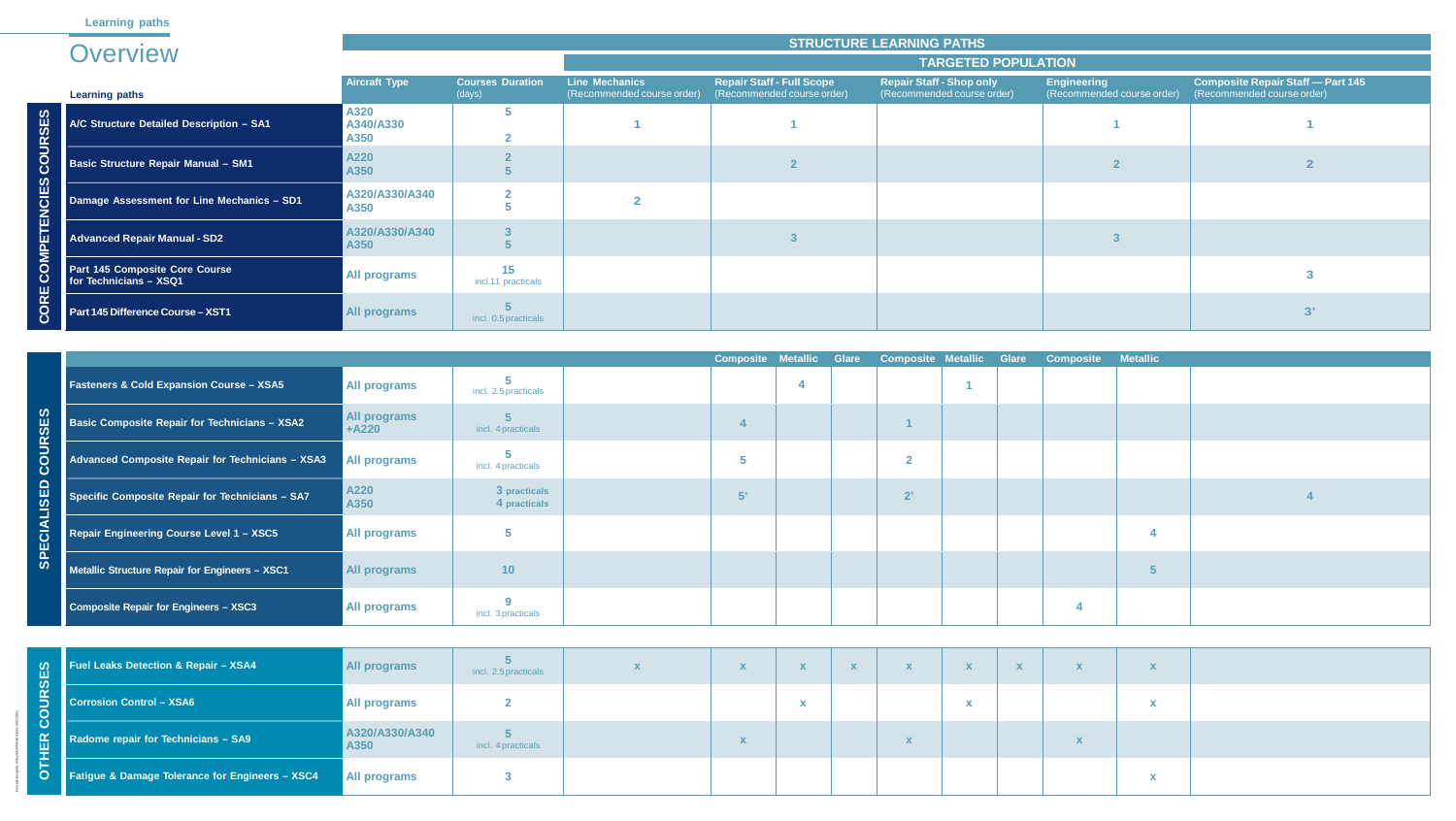|                                                     |                                     |                                 |    |  |              |  | Composite Metallic Glare Composite Metallic Glare Composite Metallic |  |
|-----------------------------------------------------|-------------------------------------|---------------------------------|----|--|--------------|--|----------------------------------------------------------------------|--|
| <b>Fasteners &amp; Cold Expansion Course - XSA5</b> | <b>All programs</b>                 | incl. 2.5 practicals            |    |  |              |  |                                                                      |  |
| Basic Composite Repair for Technicians - XSA2       | <b>All programs</b><br><b>+A220</b> | incl. 4 practicals              |    |  |              |  |                                                                      |  |
| Advanced Composite Repair for Technicians - XSA3    | All programs                        | incl. 4 practicals              |    |  | ാ<br>∼       |  |                                                                      |  |
| Specific Composite Repair for Technicians - SA7     | A220<br>A350                        | 3 practicals<br>4 practicals    | 5' |  | $2^{\prime}$ |  |                                                                      |  |
| Repair Engineering Course Level 1 - XSC5            | <b>All programs</b>                 |                                 |    |  |              |  |                                                                      |  |
| Metallic Structure Repair for Engineers - XSC1      | <b>All programs</b>                 | 10 <sub>1</sub>                 |    |  |              |  |                                                                      |  |
| Composite Repair for Engineers - XSC3               | <b>All programs</b>                 | $\bullet$<br>incl. 3 practicals |    |  |              |  |                                                                      |  |

| X | X           | $\mathbf{X}$ | $\mathbf{X}$ | X                 | $\mathbf{X}$ |  |
|---|-------------|--------------|--------------|-------------------|--------------|--|
|   |             | $\mathbf x$  |              |                   | $\mathbf x$  |  |
|   | $\mathbf x$ |              |              | $\mathbf{v}$<br>Λ |              |  |
|   |             |              |              |                   | $\mathbf{v}$ |  |

| COURSES              | A/C Structure Detailed Description - SA1                 | A3ZU<br>A340/A330<br>A350      | э                                    |                           |                           |                           |                           |                           |                           |              |                         |                           |
|----------------------|----------------------------------------------------------|--------------------------------|--------------------------------------|---------------------------|---------------------------|---------------------------|---------------------------|---------------------------|---------------------------|--------------|-------------------------|---------------------------|
|                      | <b>Basic Structure Repair Manual - SM1</b>               | A220<br>A350                   |                                      |                           |                           | $\overline{2}$            |                           |                           |                           |              |                         |                           |
| ETENCIES             | Damage Assessment for Line Mechanics - SD1               | A320/A330/A340<br>A350         |                                      | $\overline{2}$            |                           |                           |                           |                           |                           |              |                         |                           |
|                      | <b>Advanced Repair Manual - SD2</b>                      | A320/A330/A340<br>A350         |                                      |                           |                           | $\mathbf{3}$              |                           |                           |                           |              |                         |                           |
| <b>COMP</b>          | Part 145 Composite Core Course<br>for Technicians - XSQ1 | <b>All programs</b>            | 15<br>incl.11 practicals             |                           |                           |                           |                           |                           |                           |              |                         |                           |
| ORE<br>$\mathbf C$   | Part 145 Difference Course - XST1                        | <b>All programs</b>            | incl. 0.5 practicals                 |                           |                           |                           |                           |                           |                           |              |                         |                           |
|                      |                                                          |                                |                                      |                           | <b>Composite</b>          | <b>Metallic</b>           | <b>Glare</b>              | <b>Composite Metallic</b> |                           | <b>Glare</b> | <b>Composite</b>        | <b>Metallio</b>           |
|                      | <b>Fasteners &amp; Cold Expansion Course - XSA5</b>      | <b>All programs</b>            | incl. 2.5 practicals                 |                           |                           |                           |                           |                           |                           |              |                         |                           |
| <b>OURSES</b>        | <b>Basic Composite Repair for Technicians - XSA2</b>     | <b>All programs</b><br>$+A220$ | incl. 4 practicals                   |                           |                           |                           |                           |                           |                           |              |                         |                           |
| $\breve{\mathbf{O}}$ | Advanced Composite Repair for Technicians - XSA3         | <b>All programs</b>            | incl. 4 practicals                   |                           | $\overline{\mathbf{5}}$   |                           |                           | $\overline{\mathbf{2}}$   |                           |              |                         |                           |
| <b>LISED</b>         | Specific Composite Repair for Technicians - SA7          | A220<br>A350                   | 3 practicals<br>4 practicals         |                           | 5'                        |                           |                           | $2^{\prime}$              |                           |              |                         |                           |
| $\frac{d}{d}$        | Repair Engineering Course Level 1 - XSC5                 | <b>All programs</b>            | 5                                    |                           |                           |                           |                           |                           |                           |              |                         |                           |
| <b>SPE</b>           | Metallic Structure Repair for Engineers - XSC1           | <b>All programs</b>            | 10                                   |                           |                           |                           |                           |                           |                           |              |                         | 5                         |
|                      | <b>Composite Repair for Engineers - XSC3</b>             | All programs                   | 9<br>incl. 3 practicals              |                           |                           |                           |                           |                           |                           |              | $\overline{\mathbf{4}}$ |                           |
|                      |                                                          |                                |                                      |                           |                           |                           |                           |                           |                           |              |                         |                           |
| <b>UD</b>            | <b>Fuel Leaks Detection &amp; Repair - XSA4</b>          | <b>All programs</b>            | incl. 2.5 practicals                 | $\boldsymbol{\mathsf{X}}$ | $\boldsymbol{\mathsf{X}}$ | $\boldsymbol{\mathsf{X}}$ | $\boldsymbol{\mathsf{X}}$ | $\boldsymbol{\mathsf{X}}$ | $\boldsymbol{\mathsf{X}}$ | $\mathbf{X}$ | $\mathbf{X}$            | $\boldsymbol{\mathsf{x}}$ |
| COUR                 | <b>Corrosion Control - XSA6</b>                          | <b>All programs</b>            | $\overline{2}$                       |                           |                           | $\boldsymbol{\mathsf{x}}$ |                           |                           | X                         |              |                         | X                         |
| <b>OTHER</b>         | Radome repair for Technicians - SA9                      | A320/A330/A340<br>A350         | $5\phantom{.}$<br>incl. 4 practicals |                           | $\boldsymbol{\mathsf{X}}$ |                           |                           | $\boldsymbol{\mathsf{X}}$ |                           |              | $\mathbf{X}$            |                           |
|                      | Fatigue & Damage Tolerance for Engineers - XSC4          | <b>All programs</b>            | $\mathbf{3}$                         |                           |                           |                           |                           |                           |                           |              |                         | X                         |

|              |                                                          |                           |                                   |                                                     |                                                                | <b>STRUCTURE LEARNING PATHS</b>                               |                                                  |                                                                        |
|--------------|----------------------------------------------------------|---------------------------|-----------------------------------|-----------------------------------------------------|----------------------------------------------------------------|---------------------------------------------------------------|--------------------------------------------------|------------------------------------------------------------------------|
|              | Overview                                                 |                           |                                   |                                                     |                                                                | <b>TARGETED POPULATION</b>                                    |                                                  |                                                                        |
|              | <b>Learning paths</b>                                    | <b>Aircraft Type</b>      | <b>Courses Duration</b><br>(days) | <b>Line Mechanics</b><br>(Recommended course order) | <b>Repair Staff - Full Scope</b><br>(Recommended course order) | <b>Repair Staff - Shop only</b><br>(Recommended course order) | <b>Engineering</b><br>(Recommended course order) | <b>Composite Repair Staff - Part 145</b><br>(Recommended course order) |
| COURSES      | A/C Structure Detailed Description - SA1                 | A320<br>A340/A330<br>A350 |                                   |                                                     |                                                                |                                                               |                                                  |                                                                        |
|              | <b>Basic Structure Repair Manual - SM1</b>               | A220<br>A350              |                                   |                                                     |                                                                |                                                               |                                                  |                                                                        |
| <b>NCIES</b> | Damage Assessment for Line Mechanics - SD1               | A320/A330/A340<br>A350    |                                   |                                                     |                                                                |                                                               |                                                  |                                                                        |
| 画<br>ļщ      | <b>Advanced Repair Manual - SD2</b>                      | A320/A330/A340<br>A350    |                                   |                                                     |                                                                |                                                               |                                                  |                                                                        |
| <b>OS</b>    | Part 145 Composite Core Course<br>for Technicians - XSQ1 | All programs              | 15<br>incl.11 practicals          |                                                     |                                                                |                                                               |                                                  |                                                                        |
| CORE         | Part 145 Difference Course - XST1                        | <b>All programs</b>       | incl. 0.5 practicals              |                                                     |                                                                |                                                               |                                                  |                                                                        |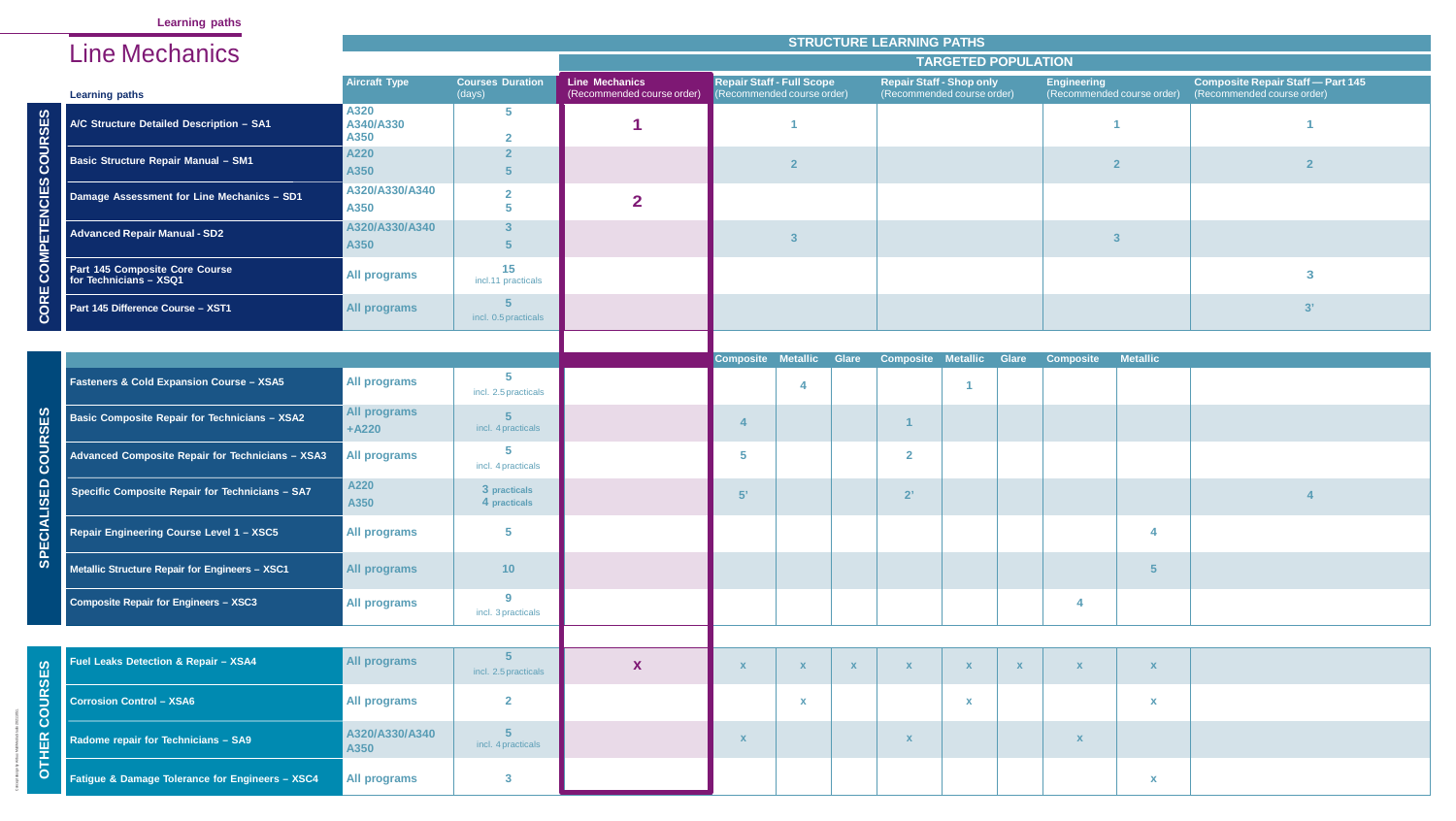**Learning paths**

|          |                                                          |                                |                                   |                                                     |                                                               |                           |              | <b>STRUCTURE LEARNING PATHS</b>                               |                            |              |                    |                            |                                                                        |  |
|----------|----------------------------------------------------------|--------------------------------|-----------------------------------|-----------------------------------------------------|---------------------------------------------------------------|---------------------------|--------------|---------------------------------------------------------------|----------------------------|--------------|--------------------|----------------------------|------------------------------------------------------------------------|--|
|          | <b>Line Mechanics</b>                                    |                                |                                   |                                                     |                                                               |                           |              |                                                               | <b>TARGETED POPULATION</b> |              |                    |                            |                                                                        |  |
|          | <b>Learning paths</b>                                    | <b>Aircraft Type</b>           | <b>Courses Duration</b><br>(days) | <b>Line Mechanics</b><br>(Recommended course order) | <b>Repair Staff - Full Scope</b><br>Recommended course order) |                           |              | <b>Repair Staff - Shop only</b><br>(Recommended course order) |                            |              | <b>Engineering</b> | (Recommended course order) | <b>Composite Repair Staff - Part 145</b><br>(Recommended course order) |  |
|          | A/C Structure Detailed Description - SA1                 | A320<br>A340/A330<br>A350      |                                   |                                                     |                                                               |                           |              |                                                               |                            |              |                    |                            |                                                                        |  |
|          | <b>Basic Structure Repair Manual - SM1</b>               | A220<br>A350                   |                                   |                                                     |                                                               | $\Omega$                  |              |                                                               |                            |              |                    |                            |                                                                        |  |
|          | Damage Assessment for Line Mechanics - SD1               | A320/A330/A340<br>A350         |                                   | $\overline{2}$                                      |                                                               |                           |              |                                                               |                            |              |                    |                            |                                                                        |  |
|          | <b>Advanced Repair Manual - SD2</b>                      | A320/A330/A340<br>A350         |                                   |                                                     |                                                               | $\overline{3}$            |              |                                                               |                            |              |                    | $\overline{3}$             |                                                                        |  |
|          | Part 145 Composite Core Course<br>for Technicians - XSQ1 | <b>All programs</b>            | 15<br>incl.11 practicals          |                                                     |                                                               |                           |              |                                                               |                            |              |                    |                            | 3                                                                      |  |
|          | Part 145 Difference Course - XST1                        | <b>All programs</b>            | incl. 0.5 practicals              |                                                     |                                                               |                           |              |                                                               |                            |              |                    |                            | 3'                                                                     |  |
|          |                                                          |                                |                                   |                                                     |                                                               |                           |              |                                                               |                            |              |                    |                            |                                                                        |  |
|          |                                                          |                                |                                   |                                                     | <b>Composite Metallic</b>                                     |                           | <b>Glare</b> | <b>Composite Metallic Glare</b>                               |                            |              | <b>Composite</b>   | <b>Metallic</b>            |                                                                        |  |
|          | <b>Fasteners &amp; Cold Expansion Course - XSA5</b>      | <b>All programs</b>            | incl. 2.5 practicals              |                                                     |                                                               |                           |              |                                                               |                            |              |                    |                            |                                                                        |  |
|          | Basic Composite Repair for Technicians - XSA2            | <b>All programs</b><br>$+A220$ | incl. 4 practicals                |                                                     |                                                               |                           |              |                                                               |                            |              |                    |                            |                                                                        |  |
|          | Advanced Composite Repair for Technicians - XSA3         | <b>All programs</b>            | incl. 4 practicals                |                                                     | 5                                                             |                           |              | $\overline{2}$                                                |                            |              |                    |                            |                                                                        |  |
| ഗ        | Specific Composite Repair for Technicians - SA7          | A220<br>A350                   | 3 practicals<br>4 practicals      |                                                     | 5'                                                            |                           |              | 2'                                                            |                            |              |                    |                            |                                                                        |  |
|          | Repair Engineering Course Level 1 - XSC5                 | <b>All programs</b>            |                                   |                                                     |                                                               |                           |              |                                                               |                            |              |                    | $\overline{a}$             |                                                                        |  |
|          | Metallic Structure Repair for Engineers - XSC1           | <b>All programs</b>            | 10                                |                                                     |                                                               |                           |              |                                                               |                            |              |                    | 5                          |                                                                        |  |
|          | <b>Composite Repair for Engineers - XSC3</b>             | <b>All programs</b>            | $\bullet$<br>incl. 3 practicals   |                                                     |                                                               |                           |              |                                                               |                            |              |                    |                            |                                                                        |  |
|          |                                                          |                                |                                   |                                                     |                                                               |                           |              |                                                               |                            |              |                    |                            |                                                                        |  |
|          | <b>Fuel Leaks Detection &amp; Repair - XSA4</b>          | <b>All programs</b>            | incl. 2.5 practicals              | X                                                   |                                                               | $\boldsymbol{\mathsf{X}}$ | $\mathbf{X}$ | $\mathbf x$                                                   |                            | $\mathbf{X}$ |                    | $\mathbf x$                |                                                                        |  |
| O<br>( ) | <b>Corrosion Control - XSA6</b>                          | <b>All programs</b>            | $\mathbf{2}$                      |                                                     |                                                               |                           |              |                                                               |                            |              |                    | $\mathbf x$                |                                                                        |  |
|          | Radome repair for Technicians - SA9                      | A320/A330/A340<br>A350         | incl. 4 practicals                |                                                     | X                                                             |                           |              | $\mathbf{x}$                                                  |                            |              | $\mathbf x$        |                            |                                                                        |  |
|          | Fatigue & Damage Tolerance for Engineers - XSC4          | <b>All programs</b>            |                                   |                                                     |                                                               |                           |              |                                                               |                            |              |                    | $\mathbf{x}$               |                                                                        |  |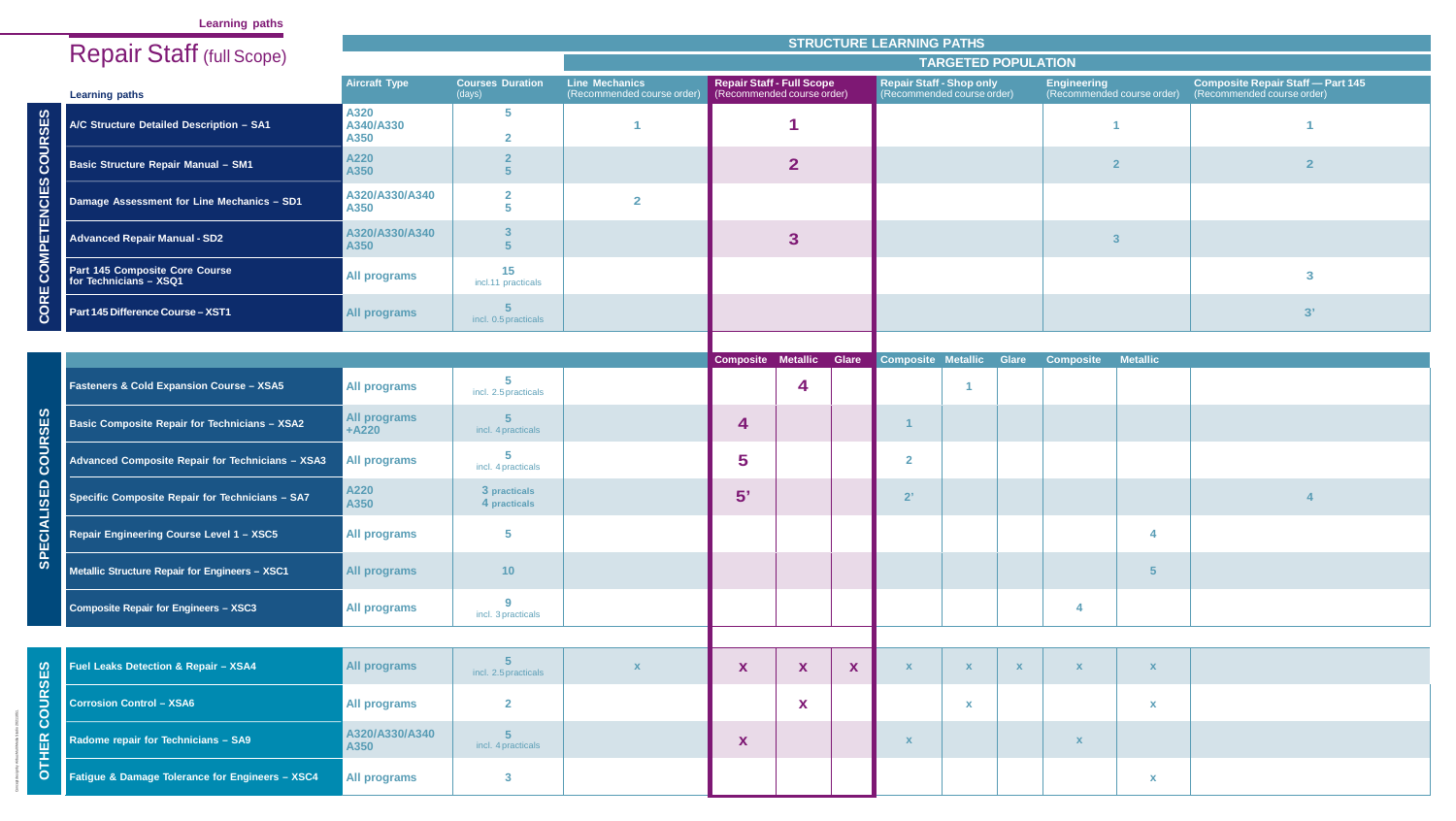# **Learning paths**

|                                         | <b>Repair Staff (full Scope)</b>                         |                                |                                   |                                                     |                                                                |                  |              | <b>STRUCTURE LEARNING PATHS</b>                               |                            |              |                                                  |                 |                                                                        |  |
|-----------------------------------------|----------------------------------------------------------|--------------------------------|-----------------------------------|-----------------------------------------------------|----------------------------------------------------------------|------------------|--------------|---------------------------------------------------------------|----------------------------|--------------|--------------------------------------------------|-----------------|------------------------------------------------------------------------|--|
|                                         |                                                          |                                |                                   |                                                     |                                                                |                  |              |                                                               | <b>TARGETED POPULATION</b> |              |                                                  |                 |                                                                        |  |
|                                         | <b>Learning paths</b>                                    | <b>Aircraft Type</b>           | <b>Courses Duration</b><br>(days) | <b>Line Mechanics</b><br>(Recommended course order) | <b>Repair Staff - Full Scope</b><br>(Recommended course order) |                  |              | <b>Repair Staff - Shop only</b><br>(Recommended course order) |                            |              | <b>Engineering</b><br>(Recommended course order) |                 | <b>Composite Repair Staff - Part 145</b><br>(Recommended course order) |  |
| <b>SD</b>                               | A/C Structure Detailed Description - SA1                 | A320<br>A340/A330<br>A350      |                                   |                                                     |                                                                |                  |              |                                                               |                            |              |                                                  |                 |                                                                        |  |
|                                         | <b>Basic Structure Repair Manual - SM1</b>               | A220<br>A350                   |                                   |                                                     |                                                                | $\mathbf{2}$     |              |                                                               |                            |              | $\overline{2}$                                   |                 |                                                                        |  |
| <u>ි</u><br>즚                           | Damage Assessment for Line Mechanics - SD1               | A320/A330/A340<br>A350         |                                   | $\overline{2}$                                      |                                                                |                  |              |                                                               |                            |              |                                                  |                 |                                                                        |  |
|                                         | <b>Advanced Repair Manual - SD2</b>                      | A320/A330/A340<br>A350         |                                   |                                                     |                                                                | $\boldsymbol{3}$ |              |                                                               |                            |              | $\overline{\mathbf{3}}$                          |                 |                                                                        |  |
|                                         | Part 145 Composite Core Course<br>for Technicians - XSQ1 | <b>All programs</b>            | 15<br>incl.11 practicals          |                                                     |                                                                |                  |              |                                                               |                            |              |                                                  |                 | 3                                                                      |  |
|                                         | Part 145 Difference Course - XST1                        | <b>All programs</b>            | incl. 0.5 practicals              |                                                     |                                                                |                  |              |                                                               |                            |              |                                                  |                 | 3'                                                                     |  |
|                                         |                                                          |                                |                                   |                                                     |                                                                |                  |              |                                                               |                            |              |                                                  |                 |                                                                        |  |
|                                         | <b>Fasteners &amp; Cold Expansion Course - XSA5</b>      | <b>All programs</b>            | incl. 2.5 practicals              |                                                     | <b>Composite Metallic</b>                                      | 4                | <b>Glare</b> | <b>Composite Metallic</b>                                     |                            | <b>Glare</b> | <b>Composite</b>                                 | <b>Metallic</b> |                                                                        |  |
| ဟ                                       | <b>Basic Composite Repair for Technicians - XSA2</b>     | <b>All programs</b><br>$+A220$ | incl. 4 practicals                |                                                     | 4                                                              |                  |              |                                                               |                            |              |                                                  |                 |                                                                        |  |
| $\vec{o}$<br>ပ                          | Advanced Composite Repair for Technicians - XSA3         | <b>All programs</b>            | incl. 4 practicals                |                                                     | 5                                                              |                  |              | $\overline{2}$                                                |                            |              |                                                  |                 |                                                                        |  |
| $\mathbf{D}$<br>$\overline{\mathbf{v}}$ | Specific Composite Repair for Technicians - SA7          | A220<br>A350                   | 3 practicals<br>4 practicals      |                                                     | 5'                                                             |                  |              | 2'                                                            |                            |              |                                                  |                 |                                                                        |  |
|                                         | Repair Engineering Course Level 1 - XSC5                 | <b>All programs</b>            |                                   |                                                     |                                                                |                  |              |                                                               |                            |              |                                                  | 4               |                                                                        |  |
| $\boldsymbol{\omega}$                   | Metallic Structure Repair for Engineers - XSC1           | <b>All programs</b>            | 10                                |                                                     |                                                                |                  |              |                                                               |                            |              |                                                  | $\sqrt{5}$      |                                                                        |  |
|                                         | Composite Repair for Engineers - XSC3                    | <b>All programs</b>            | incl. 3 practicals                |                                                     |                                                                |                  |              |                                                               |                            |              |                                                  |                 |                                                                        |  |
|                                         |                                                          |                                |                                   |                                                     |                                                                |                  |              |                                                               |                            |              |                                                  |                 |                                                                        |  |
| $\boldsymbol{\omega}$                   | <b>Fuel Leaks Detection &amp; Repair - XSA4</b>          | <b>All programs</b>            | incl. 2.5 practicals              |                                                     | X                                                              | X                | X            | X                                                             | $\mathbf{X}$               | $\mathbf{X}$ | X                                                | $\mathbf{x}$    |                                                                        |  |
| $\Box$<br>$\bullet$                     | <b>Corrosion Control - XSA6</b>                          | <b>All programs</b>            | $\overline{2}$                    |                                                     |                                                                | X                |              |                                                               | $\mathbf{x}$               |              |                                                  | $\mathbf{x}$    |                                                                        |  |
| $\ddot{\mathbf{O}}$<br>Œ.               | Radome repair for Technicians - SA9                      | A320/A330/A340<br>A350         | incl. 4 practicals                |                                                     | X                                                              |                  |              | X                                                             |                            |              |                                                  |                 |                                                                        |  |
|                                         | Fatigue & Damage Tolerance for Engineers - XSC4          | <b>All programs</b>            |                                   |                                                     |                                                                |                  |              |                                                               |                            |              |                                                  | $\mathbf{x}$    |                                                                        |  |

| <b>Repair Staff (full Scope)</b>                         |                                |                                   |                                                     |                                  | <b>STRUCTURE LEARNING PATHS</b> |                    |                                                               |              |                    |                            |                                                                        |    |  |
|----------------------------------------------------------|--------------------------------|-----------------------------------|-----------------------------------------------------|----------------------------------|---------------------------------|--------------------|---------------------------------------------------------------|--------------|--------------------|----------------------------|------------------------------------------------------------------------|----|--|
|                                                          |                                |                                   |                                                     |                                  |                                 |                    | <b>TARGETED POPULATION</b>                                    |              |                    |                            |                                                                        |    |  |
| <b>Learning paths</b>                                    | <b>Aircraft Type</b>           | <b>Courses Duration</b><br>(days) | <b>Line Mechanics</b><br>(Recommended course order) | <b>Repair Staff - Full Scope</b> | (Recommended course order)      |                    | <b>Repair Staff - Shop only</b><br>(Recommended course order) |              | <b>Engineering</b> | (Recommended course order) | <b>Composite Repair Staff - Part 145</b><br>(Recommended course order) |    |  |
| A/C Structure Detailed Description - SA1                 | A320<br>A340/A330<br>A350      | $5\overline{5}$                   |                                                     |                                  |                                 |                    |                                                               |              |                    |                            |                                                                        |    |  |
| <b>Basic Structure Repair Manual - SM1</b>               | A220<br>A350                   |                                   |                                                     |                                  | $\overline{\mathbf{2}}$         |                    |                                                               |              |                    | $\overline{\mathbf{2}}$    |                                                                        |    |  |
| Damage Assessment for Line Mechanics - SD1               | A320/A330/A340<br>A350         | $\overline{\mathbf{2}}$           | $\overline{\mathbf{2}}$                             |                                  |                                 |                    |                                                               |              |                    |                            |                                                                        |    |  |
| <b>Advanced Repair Manual - SD2</b>                      | A320/A330/A340<br>A350         |                                   |                                                     |                                  | 3                               |                    |                                                               |              |                    | $\overline{3}$             |                                                                        |    |  |
| Part 145 Composite Core Course<br>for Technicians - XSQ1 | All programs                   | 15<br>incl.11 practicals          |                                                     |                                  |                                 |                    |                                                               |              |                    |                            |                                                                        | 3  |  |
| Part 145 Difference Course - XST1                        | All programs                   | incl. 0.5 practicals              |                                                     |                                  |                                 |                    |                                                               |              |                    |                            |                                                                        | 3' |  |
|                                                          |                                |                                   |                                                     |                                  |                                 |                    |                                                               |              |                    |                            |                                                                        |    |  |
| <b>Fasteners &amp; Cold Expansion Course - XSA5</b>      | <b>All programs</b>            | incl. 2.5 practicals              |                                                     | Composite Metallic               | <b>Glare</b><br>4               | Composite Metallic |                                                               | <b>Glare</b> | <b>Composite</b>   | <b>Metallic</b>            |                                                                        |    |  |
| <b>Basic Composite Repair for Technicians - XSA2</b>     | <b>All programs</b><br>$+A220$ | incl. 4 practicals                |                                                     | 4                                |                                 |                    |                                                               |              |                    |                            |                                                                        |    |  |
| Advanced Composite Repair for Technicians - XSA3         | <b>All programs</b>            | -5<br>incl. 4 practicals          |                                                     | 5                                |                                 | $\overline{2}$     |                                                               |              |                    |                            |                                                                        |    |  |
| Specific Composite Repair for Technicians - SA7          | A220<br>A350                   | 3 practicals<br>4 practicals      |                                                     | 5'                               |                                 | 2'                 |                                                               |              |                    |                            |                                                                        |    |  |
| Repair Engineering Course Level 1 - XSC5                 | <b>All programs</b>            | $\sqrt{5}$                        |                                                     |                                  |                                 |                    |                                                               |              |                    | $\overline{4}$             |                                                                        |    |  |
| Metallic Structure Repair for Engineers - XSC1           | <b>All programs</b>            | 10                                |                                                     |                                  |                                 |                    |                                                               |              |                    | 5                          |                                                                        |    |  |
| Composite Repair for Engineers - XSC3                    | <b>All programs</b>            | 9<br>incl. 3 practicals           |                                                     |                                  |                                 |                    |                                                               |              |                    |                            |                                                                        |    |  |
|                                                          |                                |                                   |                                                     |                                  |                                 |                    |                                                               |              |                    |                            |                                                                        |    |  |
| <b>Fuel Leaks Detection &amp; Repair - XSA4</b>          | <b>All programs</b>            | incl. 2.5 practicals              | $\mathbf x$                                         | X                                | X<br>X                          | $\mathbf x$        |                                                               | $\mathbf{X}$ | $\mathbf{x}$       | $\mathbf X$                |                                                                        |    |  |
| <b>Corrosion Control - XSA6</b>                          | <b>All programs</b>            | $\mathbf{2}$                      |                                                     |                                  | X                               |                    | $\boldsymbol{\mathsf{x}}$                                     |              |                    | $\mathbf{x}$               |                                                                        |    |  |
| Radome repair for Technicians - SA9                      | A320/A330/A340<br>A350         | incl. 4 practicals                |                                                     | X                                |                                 |                    |                                                               |              | X                  |                            |                                                                        |    |  |
| Fatigue & Damage Tolerance for Engineers - XSC4          | <b>All programs</b>            | $\overline{\mathbf{3}}$           |                                                     |                                  |                                 |                    |                                                               |              |                    | $\mathbf{x}$               |                                                                        |    |  |

| <b>Repair Staff (full Scope)</b>                         |                                |                                   |                                                     |                    |                                                                |              | <b>STRUCTURE LEARNING PATHS</b>                               |                            |              |                    |                            |                                                                        |    |  |
|----------------------------------------------------------|--------------------------------|-----------------------------------|-----------------------------------------------------|--------------------|----------------------------------------------------------------|--------------|---------------------------------------------------------------|----------------------------|--------------|--------------------|----------------------------|------------------------------------------------------------------------|----|--|
|                                                          |                                |                                   |                                                     |                    |                                                                |              |                                                               | <b>TARGETED POPULATION</b> |              |                    |                            |                                                                        |    |  |
| <b>Learning paths</b>                                    | <b>Aircraft Type</b>           | <b>Courses Duration</b><br>(days) | <b>Line Mechanics</b><br>(Recommended course order) |                    | <b>Repair Staff - Full Scope</b><br>(Recommended course order) |              | <b>Repair Staff - Shop only</b><br>(Recommended course order) |                            |              | <b>Engineering</b> | (Recommended course order) | <b>Composite Repair Staff - Part 145</b><br>(Recommended course order) |    |  |
| A/C Structure Detailed Description - SA1                 | A320<br>A340/A330<br>A350      | 5                                 |                                                     |                    |                                                                |              |                                                               |                            |              |                    |                            |                                                                        |    |  |
| Basic Structure Repair Manual - SM1                      | A220<br>A350                   |                                   |                                                     |                    | $\overline{2}$                                                 |              |                                                               |                            |              |                    | $\overline{2}$             |                                                                        |    |  |
| Damage Assessment for Line Mechanics - SD1               | A320/A330/A340<br>A350         | $\overline{\mathbf{2}}$           | $\overline{\mathbf{2}}$                             |                    |                                                                |              |                                                               |                            |              |                    |                            |                                                                        |    |  |
| <b>Advanced Repair Manual - SD2</b>                      | A320/A330/A340<br>A350         |                                   |                                                     |                    | 3                                                              |              |                                                               |                            |              |                    | $\overline{3}$             |                                                                        |    |  |
| Part 145 Composite Core Course<br>for Technicians - XSQ1 | <b>All programs</b>            | 15<br>incl.11 practicals          |                                                     |                    |                                                                |              |                                                               |                            |              |                    |                            |                                                                        | 3  |  |
| Part 145 Difference Course - XST1                        | <b>All programs</b>            | incl. 0.5 practicals              |                                                     |                    |                                                                |              |                                                               |                            |              |                    |                            |                                                                        | 3' |  |
|                                                          |                                |                                   |                                                     | Composite Metallic |                                                                | <b>Glare</b> | Composite Metallic                                            |                            | <b>Glare</b> | <b>Composite</b>   | <b>Metallic</b>            |                                                                        |    |  |
| <b>Fasteners &amp; Cold Expansion Course - XSA5</b>      | <b>All programs</b>            | incl. 2.5 practicals              |                                                     |                    | 4                                                              |              |                                                               |                            |              |                    |                            |                                                                        |    |  |
| <b>Basic Composite Repair for Technicians - XSA2</b>     | <b>All programs</b><br>$+A220$ | incl. 4 practicals                |                                                     | 4                  |                                                                |              |                                                               |                            |              |                    |                            |                                                                        |    |  |
| Advanced Composite Repair for Technicians - XSA3         | <b>All programs</b>            | -5<br>incl. 4 practicals          |                                                     | 5                  |                                                                |              | $\overline{2}$                                                |                            |              |                    |                            |                                                                        |    |  |
| Specific Composite Repair for Technicians - SA7          | A220<br>A350                   | 3 practicals<br>4 practicals      |                                                     | 5'                 |                                                                |              | 2'                                                            |                            |              |                    |                            |                                                                        |    |  |
| Repair Engineering Course Level 1 - XSC5                 | <b>All programs</b>            | $-5$                              |                                                     |                    |                                                                |              |                                                               |                            |              |                    | $\overline{4}$             |                                                                        |    |  |
| Metallic Structure Repair for Engineers - XSC1           | <b>All programs</b>            | 10 <sub>1</sub>                   |                                                     |                    |                                                                |              |                                                               |                            |              |                    | 5                          |                                                                        |    |  |
| <b>Composite Repair for Engineers - XSC3</b>             | <b>All programs</b>            | <b>Q</b><br>incl. 3 practicals    |                                                     |                    |                                                                |              |                                                               |                            |              |                    |                            |                                                                        |    |  |
|                                                          |                                |                                   |                                                     |                    |                                                                |              |                                                               |                            |              |                    |                            |                                                                        |    |  |
| <b>Fuel Leaks Detection &amp; Repair - XSA4</b>          | <b>All programs</b>            | incl. 2.5 practicals              | $\mathbf x$                                         | X                  | X                                                              | X            |                                                               |                            | $\mathbf{X}$ | $\mathbf{x}$       | $\mathbf X$                |                                                                        |    |  |
| <b>Corrosion Control - XSA6</b>                          | <b>All programs</b>            | $\mathbf{2}$                      |                                                     |                    | X                                                              |              |                                                               | $\boldsymbol{\mathsf{x}}$  |              |                    | $\mathbf x$                |                                                                        |    |  |
| Radome repair for Technicians - SA9                      | A320/A330/A340<br>A350         | incl. 4 practicals                |                                                     | X                  |                                                                |              |                                                               |                            |              | X                  |                            |                                                                        |    |  |
| Fatigue & Damage Tolerance for Engineers - XSC4          | <b>All programs</b>            | $\overline{\mathbf{3}}$           |                                                     |                    |                                                                |              |                                                               |                            |              |                    | $\mathbf{x}$               |                                                                        |    |  |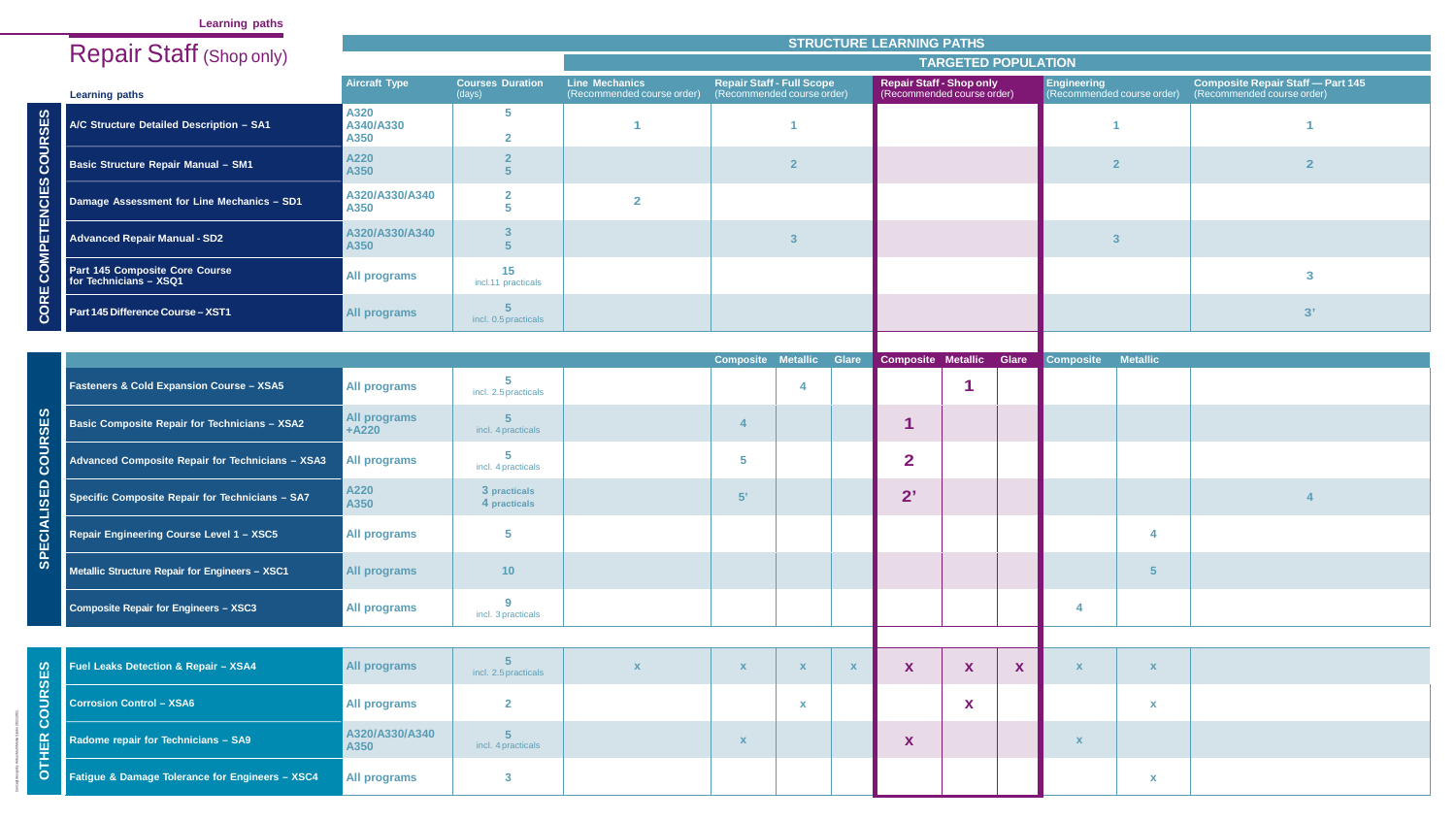# **Learning paths**

|                             |                                                          |                                |                                   |                                                     |                                                                | <b>STRUCTURE LEARNING PATHS</b> |                                                               |                            |              |                                                  |                           |                                                                        |    |  |
|-----------------------------|----------------------------------------------------------|--------------------------------|-----------------------------------|-----------------------------------------------------|----------------------------------------------------------------|---------------------------------|---------------------------------------------------------------|----------------------------|--------------|--------------------------------------------------|---------------------------|------------------------------------------------------------------------|----|--|
|                             | <b>Repair Staff (Shop only)</b>                          |                                |                                   |                                                     |                                                                |                                 |                                                               | <b>TARGETED POPULATION</b> |              |                                                  |                           |                                                                        |    |  |
|                             | <b>Learning paths</b>                                    | <b>Aircraft Type</b>           | <b>Courses Duration</b><br>(days) | <b>Line Mechanics</b><br>(Recommended course order) | <b>Repair Staff - Full Scope</b><br>(Recommended course order) |                                 | <b>Repair Staff - Shop only</b><br>(Recommended course order) |                            |              | <b>Engineering</b><br>(Recommended course order) |                           | <b>Composite Repair Staff - Part 145</b><br>(Recommended course order) |    |  |
|                             | A/C Structure Detailed Description - SA1                 | A320<br>A340/A330<br>A350      |                                   |                                                     |                                                                |                                 |                                                               |                            |              |                                                  |                           |                                                                        |    |  |
|                             | <b>Basic Structure Repair Manual - SM1</b>               | A220<br>A350                   |                                   |                                                     |                                                                |                                 |                                                               |                            |              | $\overline{2}$                                   |                           |                                                                        |    |  |
| $\boldsymbol{\omega}$<br>ш. | Damage Assessment for Line Mechanics - SD1               | A320/A330/A340<br>A350         |                                   | $\overline{2}$                                      |                                                                |                                 |                                                               |                            |              |                                                  |                           |                                                                        |    |  |
| 币<br>H.                     | <b>Advanced Repair Manual - SD2</b>                      | A320/A330/A340<br>A350         |                                   |                                                     |                                                                |                                 |                                                               |                            |              | $\overline{\mathbf{3}}$                          |                           |                                                                        |    |  |
| ш                           | Part 145 Composite Core Course<br>for Technicians - XSQ1 | <b>All programs</b>            | 15<br>incl.11 practicals          |                                                     |                                                                |                                 |                                                               |                            |              |                                                  |                           |                                                                        | 3  |  |
|                             | Part 145 Difference Course - XST1                        | <b>All programs</b>            | incl. 0.5 practicals              |                                                     |                                                                |                                 |                                                               |                            |              |                                                  |                           |                                                                        | 3' |  |
|                             |                                                          |                                |                                   |                                                     |                                                                |                                 |                                                               |                            |              |                                                  |                           |                                                                        |    |  |
|                             | <b>Fasteners &amp; Cold Expansion Course - XSA5</b>      | <b>All programs</b>            | incl. 2.5 practicals              |                                                     | <b>Composite</b>                                               | <b>Metallic</b><br>Glare        | Composite Metallic                                            |                            | <b>Glare</b> | Composite                                        | <b>Metallic</b>           |                                                                        |    |  |
| ၯ<br>ທ                      | Basic Composite Repair for Technicians - XSA2            | <b>All programs</b><br>$+A220$ | incl. 4 practicals                |                                                     | $\overline{a}$                                                 |                                 |                                                               |                            |              |                                                  |                           |                                                                        |    |  |
| O.                          | Advanced Composite Repair for Technicians - XSA3         | <b>All programs</b>            | incl. 4 practicals                |                                                     | 5                                                              |                                 | $\overline{\mathbf{2}}$                                       |                            |              |                                                  |                           |                                                                        |    |  |
| ш<br>ທ                      | Specific Composite Repair for Technicians - SA7          | A220<br>A350                   | 3 practicals<br>4 practicals      |                                                     | 5'                                                             |                                 | 2'                                                            |                            |              |                                                  |                           |                                                                        |    |  |
| Ш                           | Repair Engineering Course Level 1 - XSC5                 | <b>All programs</b>            |                                   |                                                     |                                                                |                                 |                                                               |                            |              |                                                  |                           |                                                                        |    |  |
| ທ                           | Metallic Structure Repair for Engineers - XSC1           | <b>All programs</b>            | 10                                |                                                     |                                                                |                                 |                                                               |                            |              |                                                  | $\sqrt{5}$                |                                                                        |    |  |
|                             | Composite Repair for Engineers - XSC3                    | <b>All programs</b>            | incl. 3 practicals                |                                                     |                                                                |                                 |                                                               |                            |              |                                                  |                           |                                                                        |    |  |
|                             |                                                          |                                |                                   |                                                     |                                                                |                                 |                                                               |                            |              |                                                  |                           |                                                                        |    |  |
| ဖာ<br>ທ                     | <b>Fuel Leaks Detection &amp; Repair - XSA4</b>          | <b>All programs</b>            | incl. 2.5 practicals              |                                                     | $\mathbf{x}$                                                   | X                               | X                                                             | $\mathbf{X}$               | $\mathbf{X}$ | $\boldsymbol{\mathsf{X}}$                        | $\mathbf{X}$              |                                                                        |    |  |
|                             | <b>Corrosion Control - XSA6</b>                          | <b>All programs</b>            | $\overline{2}$                    |                                                     |                                                                |                                 |                                                               | X                          |              |                                                  | $\mathbf x$               |                                                                        |    |  |
| $\mathbf C$                 | Radome repair for Technicians - SA9                      | A320/A330/A340<br>A350         | incl. 4 practicals                |                                                     | $\mathbf x$                                                    |                                 | X                                                             |                            |              | $\mathbf x$                                      |                           |                                                                        |    |  |
|                             | Fatigue & Damage Tolerance for Engineers - XSC4          | <b>All programs</b>            | $\mathbf{3}$                      |                                                     |                                                                |                                 |                                                               |                            |              |                                                  | $\boldsymbol{\mathsf{X}}$ |                                                                        |    |  |

|                                                          |                                |                                           |                                                     |                                                                |       | <b>STRUCTURE LEARNING PATHS</b>                               |                            |              |                           |                            |                                                                        |
|----------------------------------------------------------|--------------------------------|-------------------------------------------|-----------------------------------------------------|----------------------------------------------------------------|-------|---------------------------------------------------------------|----------------------------|--------------|---------------------------|----------------------------|------------------------------------------------------------------------|
| <b>Repair Staff (Shop only)</b>                          |                                |                                           |                                                     |                                                                |       |                                                               | <b>TARGETED POPULATION</b> |              |                           |                            |                                                                        |
| <b>Learning paths</b>                                    | <b>Aircraft Type</b>           | <b>Courses Duration</b><br>(days)         | <b>Line Mechanics</b><br>(Recommended course order) | <b>Repair Staff - Full Scope</b><br>(Recommended course order) |       | <b>Repair Staff - Shop only</b><br>(Recommended course order) |                            |              | <b>Engineering</b>        | (Recommended course order) | <b>Composite Repair Staff - Part 145</b><br>(Recommended course order) |
| A/C Structure Detailed Description - SA1                 | A320<br>A340/A330<br>A350      | $\overline{\mathbf{5}}$<br>$\overline{2}$ |                                                     |                                                                |       |                                                               |                            |              |                           |                            |                                                                        |
| <b>Basic Structure Repair Manual - SM1</b>               | A220<br>A350                   |                                           |                                                     | $\overline{2}$                                                 |       |                                                               |                            |              |                           | $\overline{2}$             |                                                                        |
| Damage Assessment for Line Mechanics - SD1               | A320/A330/A340<br>A350         | $\overline{\mathbf{2}}$                   | $\mathbf{2}$                                        |                                                                |       |                                                               |                            |              |                           |                            |                                                                        |
| <b>Advanced Repair Manual - SD2</b>                      | A320/A330/A340<br>A350         | $\overline{\mathbf{3}}$                   |                                                     |                                                                |       |                                                               |                            |              |                           | $\overline{3}$             |                                                                        |
| Part 145 Composite Core Course<br>for Technicians - XSQ1 | <b>All programs</b>            | 15<br>incl.11 practicals                  |                                                     |                                                                |       |                                                               |                            |              |                           |                            | 3                                                                      |
| Part 145 Difference Course - XST1                        | <b>All programs</b>            | incl. 0.5 practicals                      |                                                     |                                                                |       |                                                               |                            |              |                           |                            | 3'                                                                     |
|                                                          |                                |                                           |                                                     | <b>Composite Metallic</b>                                      | Glare | <b>Composite Metallic</b>                                     |                            | <b>Glare</b> | <b>Composite</b>          | <b>Metallic</b>            |                                                                        |
| <b>Fasteners &amp; Cold Expansion Course - XSA5</b>      | <b>All programs</b>            | incl. 2.5 practicals                      |                                                     |                                                                |       |                                                               |                            |              |                           |                            |                                                                        |
| <b>Basic Composite Repair for Technicians - XSA2</b>     | <b>All programs</b><br>$+A220$ | incl. 4 practicals                        |                                                     |                                                                |       |                                                               |                            |              |                           |                            |                                                                        |
| Advanced Composite Repair for Technicians - XSA3         | <b>All programs</b>            | 5<br>incl. 4 practicals                   |                                                     |                                                                |       | $\mathbf{2}$                                                  |                            |              |                           |                            |                                                                        |
| Specific Composite Repair for Technicians - SA7          | A220<br>A350                   | 3 practicals<br>4 practicals              |                                                     | 5'                                                             |       | $2^{\prime}$                                                  |                            |              |                           |                            |                                                                        |
| <b>Repair Engineering Course Level 1 - XSC5</b>          | <b>All programs</b>            | $\overline{\mathbf{5}}$                   |                                                     |                                                                |       |                                                               |                            |              |                           | $\overline{\mathbf{4}}$    |                                                                        |
| Metallic Structure Repair for Engineers - XSC1           | All programs                   | 10                                        |                                                     |                                                                |       |                                                               |                            |              |                           | 5                          |                                                                        |
| <b>Composite Repair for Engineers - XSC3</b>             | <b>All programs</b>            | 9<br>incl. 3 practicals                   |                                                     |                                                                |       |                                                               |                            |              | $\overline{4}$            |                            |                                                                        |
|                                                          |                                |                                           |                                                     |                                                                |       |                                                               |                            |              |                           |                            |                                                                        |
| Fuel Leaks Detection & Repair - XSA4                     | <b>All programs</b>            | incl. 2.5 practicals                      | $\boldsymbol{\mathsf{X}}$                           | $\mathbf x$                                                    |       | X                                                             | X                          | $\mathbf{X}$ | X                         | X                          |                                                                        |
| <b>Corrosion Control - XSA6</b>                          | <b>All programs</b>            | $\mathbf{2}$                              |                                                     | $\boldsymbol{\mathsf{x}}$                                      |       |                                                               | X                          |              |                           | $\mathbf{x}$               |                                                                        |
| Radome repair for Technicians - SA9                      | A320/A330/A340<br>A350         | -5<br>incl. 4 practicals                  |                                                     |                                                                |       | X                                                             |                            |              | $\boldsymbol{\mathsf{X}}$ |                            |                                                                        |
| Fatigue & Damage Tolerance for Engineers - XSC4          | <b>All programs</b>            | $\boldsymbol{3}$                          |                                                     |                                                                |       |                                                               |                            |              |                           | $\mathbf x$                |                                                                        |

|                                                          |                                |                                   |                                                     |                                  | <b>STRUCTURE LEARNING PATHS</b> |                                                               |                            |              |                  |                            |                                                                        |  |
|----------------------------------------------------------|--------------------------------|-----------------------------------|-----------------------------------------------------|----------------------------------|---------------------------------|---------------------------------------------------------------|----------------------------|--------------|------------------|----------------------------|------------------------------------------------------------------------|--|
| <b>Repair Staff (Shop only)</b>                          |                                |                                   |                                                     |                                  |                                 |                                                               | <b>TARGETED POPULATION</b> |              |                  |                            |                                                                        |  |
| <b>Learning paths</b>                                    | <b>Aircraft Type</b>           | <b>Courses Duration</b><br>(days) | <b>Line Mechanics</b><br>(Recommended course order) | <b>Repair Staff - Full Scope</b> | (Recommended course order)      | <b>Repair Staff - Shop only</b><br>(Recommended course order) |                            |              | Engineering      | (Recommended course order) | <b>Composite Repair Staff - Part 145</b><br>(Recommended course order) |  |
| A/C Structure Detailed Description - SA1                 | A320<br>A340/A330<br>A350      | 5<br>- 2                          |                                                     |                                  |                                 |                                                               |                            |              |                  |                            |                                                                        |  |
| <b>Basic Structure Repair Manual - SM1</b>               | A220<br>A350                   |                                   |                                                     |                                  |                                 |                                                               |                            |              |                  | $\overline{2}$             |                                                                        |  |
| Damage Assessment for Line Mechanics - SD1               | A320/A330/A340<br>A350         | $\overline{2}$                    | $\overline{2}$                                      |                                  |                                 |                                                               |                            |              |                  |                            |                                                                        |  |
| <b>Advanced Repair Manual - SD2</b>                      | A320/A330/A340<br>A350         |                                   |                                                     |                                  | 3                               |                                                               |                            |              |                  | 3                          |                                                                        |  |
| Part 145 Composite Core Course<br>for Technicians - XSQ1 | <b>All programs</b>            | 15<br>incl.11 practicals          |                                                     |                                  |                                 |                                                               |                            |              |                  |                            | 3                                                                      |  |
| Part 145 Difference Course - XST1                        | All programs                   | incl. 0.5 practicals              |                                                     |                                  |                                 |                                                               |                            |              |                  |                            | 3'                                                                     |  |
|                                                          |                                |                                   |                                                     |                                  |                                 |                                                               |                            |              |                  |                            |                                                                        |  |
| <b>Fasteners &amp; Cold Expansion Course - XSA5</b>      | <b>All programs</b>            | incl. 2.5 practicals              |                                                     | <b>Composite Metallic</b>        | Glare                           | <b>Composite Metallic</b>                                     |                            | <b>Glare</b> | <b>Composite</b> | <b>Metallic</b>            |                                                                        |  |
| <b>Basic Composite Repair for Technicians - XSA2</b>     | <b>All programs</b><br>$+A220$ | incl. 4 practicals                |                                                     |                                  |                                 |                                                               |                            |              |                  |                            |                                                                        |  |
| Advanced Composite Repair for Technicians - XSA3         | <b>All programs</b>            | 5<br>incl. 4 practicals           |                                                     | 5                                |                                 | $\overline{\mathbf{2}}$                                       |                            |              |                  |                            |                                                                        |  |
| Specific Composite Repair for Technicians - SA7          | A220<br>A350                   | 3 practicals<br>4 practicals      |                                                     | 5'                               |                                 | $2^{\prime}$                                                  |                            |              |                  |                            |                                                                        |  |
| Repair Engineering Course Level 1 - XSC5                 | <b>All programs</b>            | $\overline{\mathbf{5}}$           |                                                     |                                  |                                 |                                                               |                            |              |                  | $\overline{\bf{4}}$        |                                                                        |  |
| Metallic Structure Repair for Engineers - XSC1           | <b>All programs</b>            | 10                                |                                                     |                                  |                                 |                                                               |                            |              |                  | 5                          |                                                                        |  |
| Composite Repair for Engineers - XSC3                    | <b>All programs</b>            | 9<br>incl. 3 practicals           |                                                     |                                  |                                 |                                                               |                            |              |                  |                            |                                                                        |  |
|                                                          |                                |                                   |                                                     |                                  |                                 |                                                               |                            |              |                  |                            |                                                                        |  |
| <b>Fuel Leaks Detection &amp; Repair - XSA4</b>          | <b>All programs</b>            | incl. 2.5 practicals              |                                                     | $\mathbf{X}$                     | $\mathbf{x}$                    | X                                                             | X                          | X            | X                | $\boldsymbol{\mathsf{X}}$  |                                                                        |  |
| <b>Corrosion Control - XSA6</b>                          | <b>All programs</b>            | $\overline{2}$                    |                                                     |                                  | $\mathbf x$                     |                                                               | X                          |              |                  | $\mathbf{x}$               |                                                                        |  |
| Radome repair for Technicians - SA9                      | A320/A330/A340<br>A350         | incl. 4 practicals                |                                                     | $\mathbf x$                      |                                 | X                                                             |                            |              | X                |                            |                                                                        |  |
| Fatigue & Damage Tolerance for Engineers - XSC4          | <b>All programs</b>            | $\boldsymbol{3}$                  |                                                     |                                  |                                 |                                                               |                            |              |                  | $\mathbf{x}$               |                                                                        |  |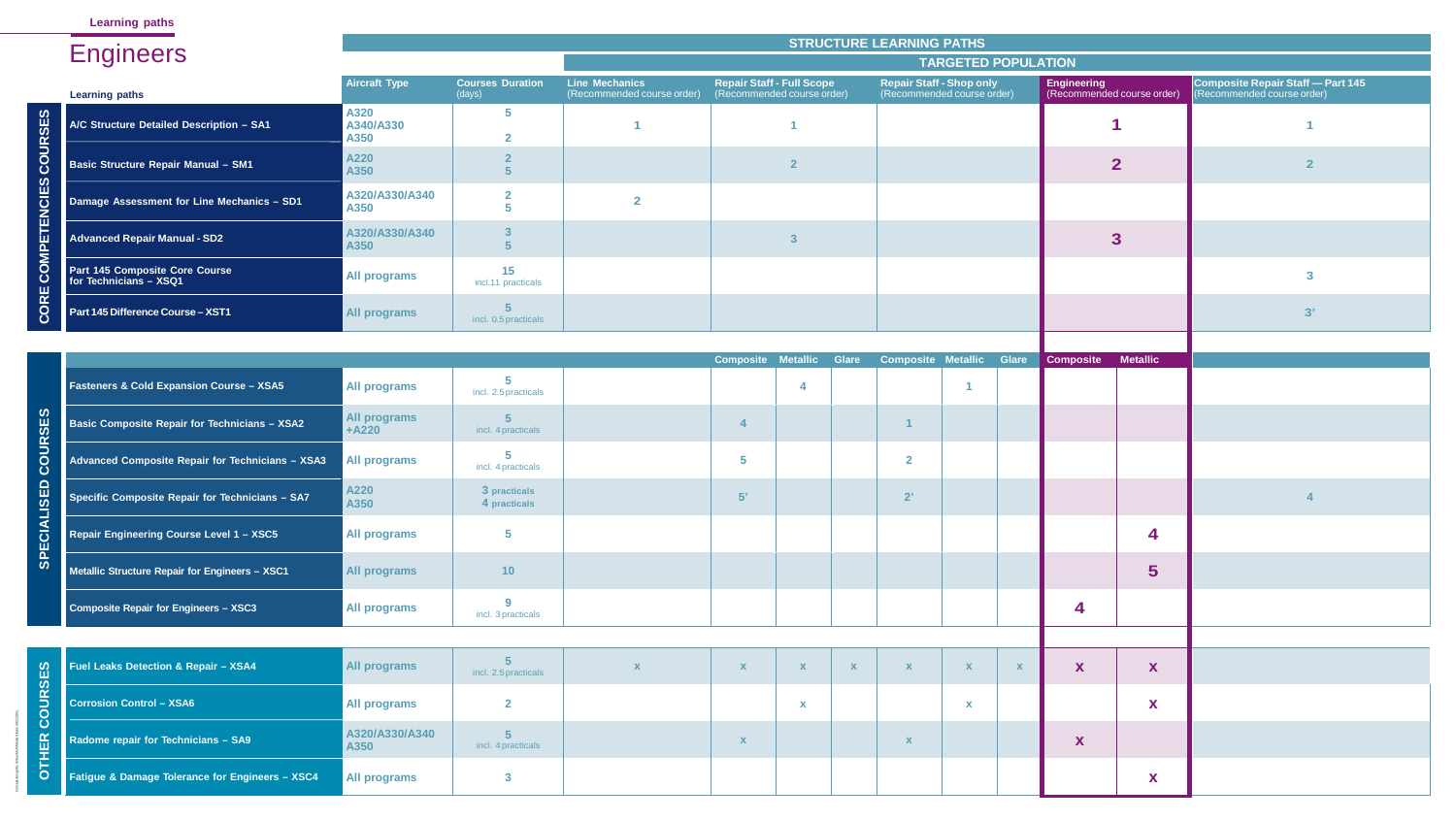|    | and the control of the control of the control of the control of the control of |                           |                                   |                                                     |                                                                |              | <b>STRUCTURE LEARNING PATHS</b>                               |              |                                                  |                 |                                                                        |
|----|--------------------------------------------------------------------------------|---------------------------|-----------------------------------|-----------------------------------------------------|----------------------------------------------------------------|--------------|---------------------------------------------------------------|--------------|--------------------------------------------------|-----------------|------------------------------------------------------------------------|
|    | <b>Engineers</b>                                                               |                           |                                   |                                                     |                                                                |              | <b>TARGETED POPULATION</b>                                    |              |                                                  |                 |                                                                        |
|    | <b>Learning paths</b>                                                          | <b>Aircraft Type</b>      | <b>Courses Duration</b><br>(days) | <b>Line Mechanics</b><br>(Recommended course order) | <b>Repair Staff - Full Scope</b><br>(Recommended course order) |              | <b>Repair Staff - Shop only</b><br>(Recommended course order) |              | <b>Engineering</b><br>(Recommended course order) |                 | <b>Composite Repair Staff - Part 145</b><br>(Recommended course order) |
|    | A/C Structure Detailed Description - SA1                                       | A320<br>A340/A330<br>A350 | $\overline{\mathbf{5}}$           |                                                     |                                                                |              |                                                               |              |                                                  |                 |                                                                        |
| U) | <b>Basic Structure Repair Manual - SM1</b>                                     | A220<br>A350              |                                   |                                                     | $\overline{2}$                                                 |              |                                                               |              |                                                  | $\overline{2}$  |                                                                        |
| ш  | Damage Assessment for Line Mechanics - SD1                                     | A320/A330/A340<br>A350    |                                   | $\overline{2}$                                      |                                                                |              |                                                               |              |                                                  |                 |                                                                        |
|    | <b>Advanced Repair Manual - SD2</b>                                            | A320/A330/A340<br>A350    |                                   |                                                     |                                                                |              |                                                               |              |                                                  | $\overline{3}$  |                                                                        |
|    | Part 145 Composite Core Course<br>for Technicians - XSQ1                       | <b>All programs</b>       | 15<br>incl.11 practicals          |                                                     |                                                                |              |                                                               |              |                                                  |                 | 3                                                                      |
|    | Part 145 Difference Course - XST1                                              | All programs              | incl. 0.5 practicals              |                                                     |                                                                |              |                                                               |              |                                                  |                 | 3'                                                                     |
|    |                                                                                |                           |                                   |                                                     |                                                                |              |                                                               |              |                                                  |                 |                                                                        |
|    | <b>Fasteners &amp; Cold Expansion Course - XSA5</b>                            | <b>All programs</b>       | incl. 2.5 practicals              |                                                     | Composite Metallic                                             | Glare        | <b>Composite Metallic</b>                                     | <b>Glare</b> | <b>Composite</b>                                 | <b>Metallic</b> |                                                                        |
|    | Basic Composite Repair for Technicians - XSA2                                  | All programs<br>$+A220$   | incl. 4 practicals                |                                                     | 4                                                              |              |                                                               |              |                                                  |                 |                                                                        |
| ပ  | Advanced Composite Repair for Technicians - XSA3                               | <b>All programs</b>       | incl. 4 practicals                |                                                     | $\sqrt{5}$                                                     |              | $\overline{2}$                                                |              |                                                  |                 |                                                                        |
|    | Specific Composite Repair for Technicians - SA7                                | A220<br>A350              | 3 practicals<br>4 practicals      |                                                     | 5'                                                             |              | 2'                                                            |              |                                                  |                 |                                                                        |
|    | Repair Engineering Course Level 1 - XSC5                                       | <b>All programs</b>       | $\overline{\mathbf{5}}$           |                                                     |                                                                |              |                                                               |              |                                                  | 4               |                                                                        |
|    | Metallic Structure Repair for Engineers - XSC1                                 | <b>All programs</b>       | 10                                |                                                     |                                                                |              |                                                               |              |                                                  | 5               |                                                                        |
|    | <b>Composite Repair for Engineers - XSC3</b>                                   | <b>All programs</b>       | 9<br>incl. 3 practicals           |                                                     |                                                                |              |                                                               |              | 4                                                |                 |                                                                        |
|    |                                                                                |                           |                                   |                                                     |                                                                |              |                                                               |              |                                                  |                 |                                                                        |
|    | Fuel Leaks Detection & Repair - XSA4                                           | <b>All programs</b>       | incl. 2.5 practicals              |                                                     | $\mathbf{X}$                                                   | $\mathbf{X}$ | $\mathbf{x}$<br>X                                             | X            | X                                                | X               |                                                                        |
| O  | <b>Corrosion Control - XSA6</b>                                                | <b>All programs</b>       | $\overline{2}$                    |                                                     |                                                                |              | $\mathbf{x}$                                                  |              |                                                  | X               |                                                                        |
|    | Radome repair for Technicians - SA9                                            | A320/A330/A340<br>A350    | incl. 4 practicals                |                                                     | $\mathbf{X}$                                                   |              | $\mathbf{X}$                                                  |              | X                                                |                 |                                                                        |
|    | Fatigue & Damage Tolerance for Engineers - XSC4                                | <b>All programs</b>       | $\overline{3}$                    |                                                     |                                                                |              |                                                               |              |                                                  | X               |                                                                        |

|                                                          | <b>STRUCTURE LEARNING PATHS</b> |                                      |                                                     |                         |                                                                |              |                                 |                                 |                           |                                                  |                 |                                                                        |  |
|----------------------------------------------------------|---------------------------------|--------------------------------------|-----------------------------------------------------|-------------------------|----------------------------------------------------------------|--------------|---------------------------------|---------------------------------|---------------------------|--------------------------------------------------|-----------------|------------------------------------------------------------------------|--|
| <b>Engineers</b>                                         |                                 |                                      |                                                     |                         |                                                                |              |                                 | <b>TARGETED POPULATION</b>      |                           |                                                  |                 |                                                                        |  |
| <b>Learning paths</b>                                    | <b>Aircraft Type</b>            | <b>Courses Duration</b><br>(days)    | <b>Line Mechanics</b><br>(Recommended course order) |                         | <b>Repair Staff - Full Scope</b><br>(Recommended course order) |              | <b>Repair Staff - Shop only</b> | (Recommended course order)      |                           | <b>Engineering</b><br>(Recommended course order) |                 | <b>Composite Repair Staff - Part 145</b><br>(Recommended course order) |  |
| A/C Structure Detailed Description - SA1                 | A320<br>A340/A330<br>A350       | $\overline{\mathbf{5}}$              |                                                     |                         |                                                                |              |                                 |                                 |                           |                                                  |                 |                                                                        |  |
| <b>Basic Structure Repair Manual - SM1</b>               | A220<br>A350                    |                                      |                                                     |                         |                                                                |              |                                 |                                 |                           |                                                  | $\overline{2}$  |                                                                        |  |
| Damage Assessment for Line Mechanics - SD1               | A320/A330/A340<br>A350          |                                      | $\overline{2}$                                      |                         |                                                                |              |                                 |                                 |                           |                                                  |                 |                                                                        |  |
| <b>Advanced Repair Manual - SD2</b>                      | A320/A330/A340<br>A350          |                                      |                                                     |                         |                                                                |              |                                 |                                 | 3 <sup>1</sup>            |                                                  |                 |                                                                        |  |
| Part 145 Composite Core Course<br>for Technicians - XSQ1 | All programs                    | 15<br>incl.11 practicals             |                                                     |                         |                                                                |              |                                 |                                 |                           |                                                  |                 | 3                                                                      |  |
| <b>Part 145 Difference Course - XST1</b>                 | All programs                    | incl. 0.5 practicals                 |                                                     |                         |                                                                |              |                                 |                                 |                           | 3'                                               |                 |                                                                        |  |
|                                                          |                                 |                                      |                                                     |                         |                                                                |              |                                 |                                 |                           |                                                  |                 |                                                                        |  |
| <b>Fasteners &amp; Cold Expansion Course - XSA5</b>      | All programs                    | 5<br>incl. 2.5 practicals            |                                                     |                         | <b>Composite Metallic Glare</b><br>4                           |              |                                 | <b>Composite Metallic Glare</b> |                           | <b>Composite</b>                                 | <b>Metallic</b> |                                                                        |  |
| <b>Basic Composite Repair for Technicians - XSA2</b>     | All programs<br>$+A220$         | incl. 4 practicals                   |                                                     |                         |                                                                |              |                                 |                                 |                           |                                                  |                 |                                                                        |  |
| Advanced Composite Repair for Technicians - XSA3         | <b>All programs</b>             | 5<br>incl. 4 practicals              |                                                     | $\overline{\mathbf{5}}$ |                                                                |              | $\overline{2}$                  |                                 |                           |                                                  |                 |                                                                        |  |
| Specific Composite Repair for Technicians - SA7          | A220<br>A350                    | 3 practicals<br>4 practicals         |                                                     | 5'                      |                                                                |              | 2'                              |                                 |                           |                                                  |                 |                                                                        |  |
| Repair Engineering Course Level 1 - XSC5                 | <b>All programs</b>             | $\overline{\mathbf{5}}$              |                                                     |                         |                                                                |              |                                 |                                 |                           |                                                  | 4               |                                                                        |  |
| Metallic Structure Repair for Engineers - XSC1           | All programs                    | 10                                   |                                                     |                         |                                                                |              |                                 |                                 |                           |                                                  | $5\phantom{1}$  |                                                                        |  |
| Composite Repair for Engineers - XSC3                    | All programs                    | 9<br>incl. 3 practicals              |                                                     |                         |                                                                |              |                                 | 4                               |                           |                                                  |                 |                                                                        |  |
|                                                          |                                 |                                      |                                                     |                         |                                                                |              |                                 |                                 |                           |                                                  |                 |                                                                        |  |
| Fuel Leaks Detection & Repair - XSA4                     | All programs                    | incl. 2.5 practicals                 | $\mathbf{x}$                                        | $\mathbf x$             | $\mathbf{x}$                                                   | $\mathbf{X}$ | $\mathbf X$                     | $\boldsymbol{\mathsf{X}}$       | $\boldsymbol{\mathsf{X}}$ | X                                                | X               |                                                                        |  |
| <b>Corrosion Control - XSA6</b>                          | All programs                    | $\overline{2}$                       |                                                     |                         | X                                                              |              |                                 | $\mathbf x$                     |                           |                                                  | X               |                                                                        |  |
| Radome repair for Technicians - SA9                      | A320/A330/A340<br>A350          | $5\phantom{1}$<br>incl. 4 practicals |                                                     | $\mathbf x$             |                                                                |              | $\mathbf{X}$                    |                                 |                           | X                                                |                 |                                                                        |  |
| Fatigue & Damage Tolerance for Engineers - XSC4          | All programs                    | $\mathbf{3}$                         |                                                     |                         |                                                                |              |                                 |                                 |                           |                                                  | X               |                                                                        |  |

|  |                                                          | <b>STRUCTURE LEARNING PATHS</b> |                                   |                                                     |                                                                |              |                                 |                            |                                                  |                  |                                                                        |  |  |  |
|--|----------------------------------------------------------|---------------------------------|-----------------------------------|-----------------------------------------------------|----------------------------------------------------------------|--------------|---------------------------------|----------------------------|--------------------------------------------------|------------------|------------------------------------------------------------------------|--|--|--|
|  | <b>Engineers</b>                                         |                                 |                                   |                                                     |                                                                |              |                                 | <b>TARGETED POPULATION</b> |                                                  |                  |                                                                        |  |  |  |
|  | <b>Learning paths</b>                                    | <b>Aircraft Type</b>            | <b>Courses Duration</b><br>(days) | <b>Line Mechanics</b><br>(Recommended course order) | <b>Repair Staff - Full Scope</b><br>(Recommended course order) |              | <b>Repair Staff - Shop only</b> | (Recommended course order) | <b>Engineering</b><br>(Recommended course order) |                  | <b>Composite Repair Staff - Part 145</b><br>(Recommended course order) |  |  |  |
|  | A/C Structure Detailed Description - SA1                 | A320<br>A340/A330<br>A350       | 5                                 |                                                     |                                                                |              |                                 |                            |                                                  |                  |                                                                        |  |  |  |
|  | <b>Basic Structure Repair Manual - SM1</b>               | A220<br>A350                    |                                   |                                                     |                                                                |              |                                 |                            |                                                  | $\overline{2}$   |                                                                        |  |  |  |
|  | Damage Assessment for Line Mechanics - SD1               | A320/A330/A340<br>A350          | $\overline{\mathbf{2}}$           | $\overline{2}$                                      |                                                                |              |                                 |                            |                                                  |                  |                                                                        |  |  |  |
|  | <b>Advanced Repair Manual - SD2</b>                      | A320/A330/A340<br>A350          |                                   |                                                     |                                                                |              |                                 |                            |                                                  | 3                |                                                                        |  |  |  |
|  | Part 145 Composite Core Course<br>for Technicians - XSQ1 | All programs                    | 15<br>incl.11 practicals          |                                                     |                                                                |              |                                 |                            |                                                  |                  | 3                                                                      |  |  |  |
|  | Part 145 Difference Course - XST1                        | <b>All programs</b>             | incl. 0.5 practicals              |                                                     |                                                                |              |                                 |                            |                                                  |                  | 3'                                                                     |  |  |  |
|  |                                                          |                                 |                                   |                                                     | Composite Metallic                                             | <b>Glare</b> | <b>Composite Metallic</b>       | <b>Glare</b>               | <b>Composite</b>                                 | <b>Metallic</b>  |                                                                        |  |  |  |
|  | <b>Fasteners &amp; Cold Expansion Course - XSA5</b>      | <b>All programs</b>             | incl. 2.5 practicals              |                                                     |                                                                |              |                                 |                            |                                                  |                  |                                                                        |  |  |  |
|  | <b>Basic Composite Repair for Technicians - XSA2</b>     | <b>All programs</b><br>$+A220$  | incl. 4 practicals                |                                                     |                                                                |              |                                 |                            |                                                  |                  |                                                                        |  |  |  |
|  | Advanced Composite Repair for Technicians - XSA3         | <b>All programs</b>             | 5<br>incl. 4 practicals           |                                                     | 5                                                              |              | $\mathbf{2}$                    |                            |                                                  |                  |                                                                        |  |  |  |
|  | Specific Composite Repair for Technicians - SA7          | A220<br>A350                    | 3 practicals<br>4 practicals      |                                                     | 5'                                                             |              | 2'                              |                            |                                                  |                  |                                                                        |  |  |  |
|  | Repair Engineering Course Level 1 - XSC5                 | <b>All programs</b>             | $\overline{\mathbf{5}}$           |                                                     |                                                                |              |                                 |                            |                                                  | $\boldsymbol{4}$ |                                                                        |  |  |  |
|  | Metallic Structure Repair for Engineers - XSC1           | <b>All programs</b>             | 10 <sub>1</sub>                   |                                                     |                                                                |              |                                 |                            |                                                  | 5                |                                                                        |  |  |  |
|  | Composite Repair for Engineers - XSC3                    | <b>All programs</b>             | 9<br>incl. 3 practicals           |                                                     |                                                                |              |                                 |                            | 4                                                |                  |                                                                        |  |  |  |
|  |                                                          |                                 |                                   |                                                     |                                                                |              |                                 |                            |                                                  |                  |                                                                        |  |  |  |
|  | <b>Fuel Leaks Detection &amp; Repair - XSA4</b>          | <b>All programs</b>             | incl. 2.5 practicals              |                                                     | X<br>$\mathbf x$                                               | $\mathbf{X}$ | $\boldsymbol{\mathsf{X}}$       |                            | X                                                | X                |                                                                        |  |  |  |
|  | <b>Corrosion Control - XSA6</b>                          | <b>All programs</b>             | $\overline{2}$                    |                                                     | $\mathbf{x}$                                                   |              |                                 | $\mathbf x$                |                                                  | X                |                                                                        |  |  |  |
|  | Radome repair for Technicians - SA9                      | A320/A330/A340<br>A350          | incl. 4 practicals                |                                                     | X                                                              |              | $\boldsymbol{\mathsf{X}}$       |                            | X                                                |                  |                                                                        |  |  |  |
|  | Fatigue & Damage Tolerance for Engineers - XSC4          | <b>All programs</b>             | $\mathbf{3}$                      |                                                     |                                                                |              |                                 |                            |                                                  | X                |                                                                        |  |  |  |